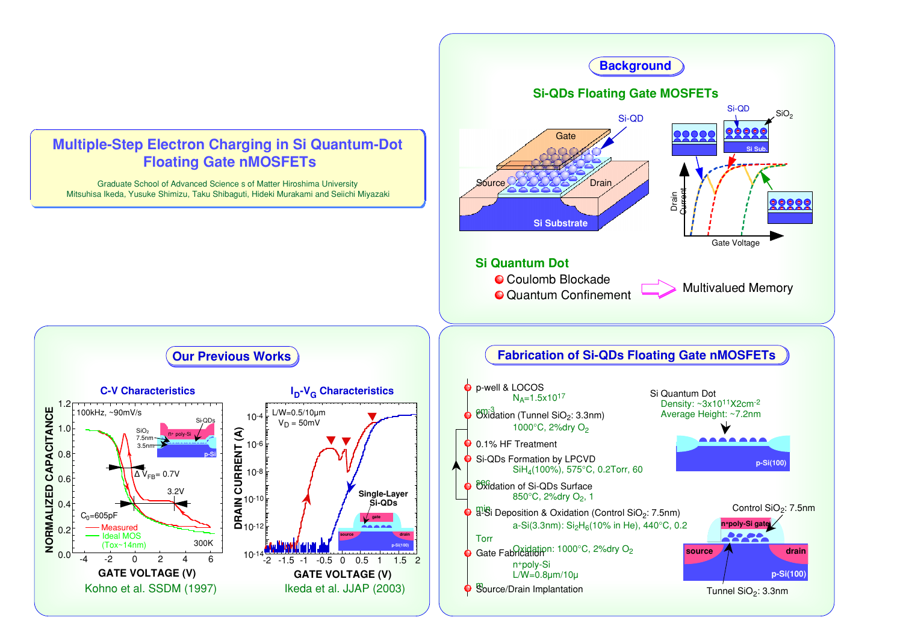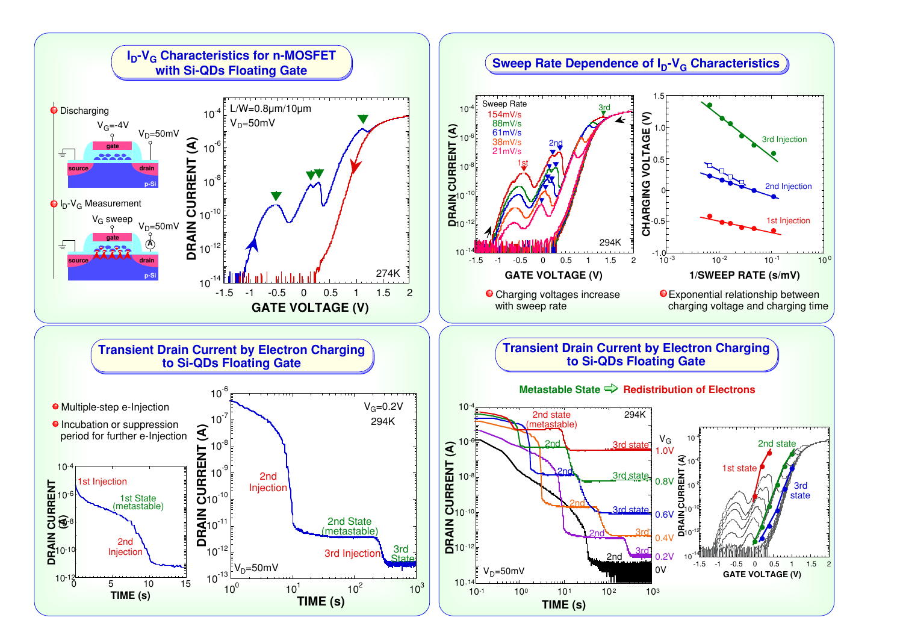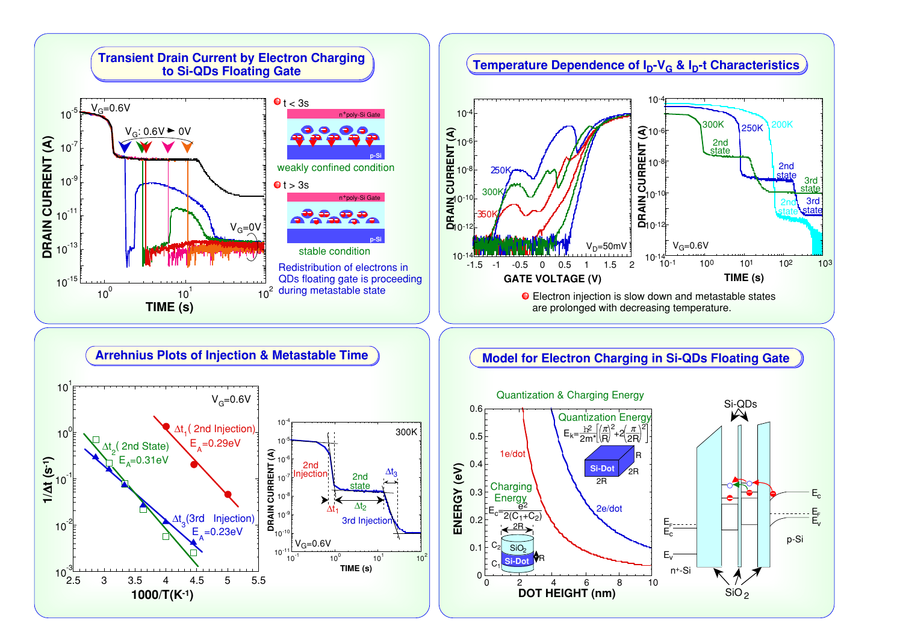